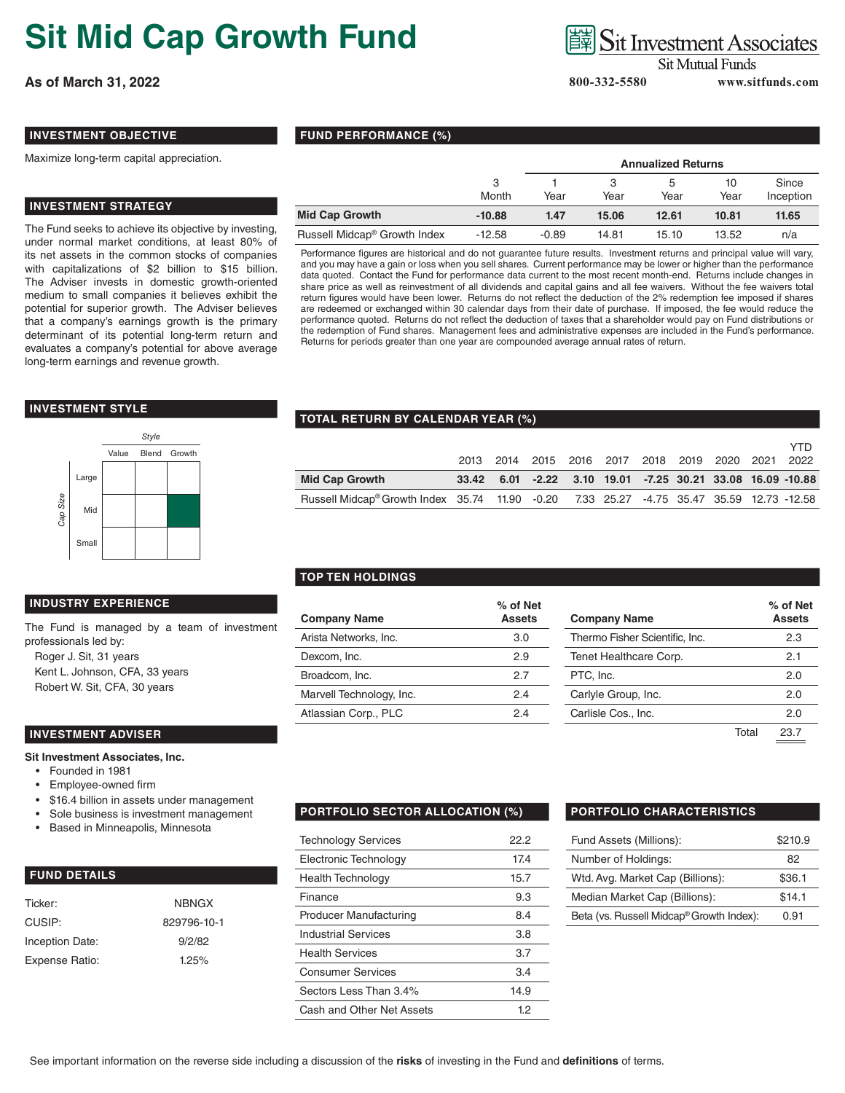# **Sit Mid Cap Growth Fund**

**As of March 31, 2022 800-332-5580 www.sitfunds.com**

## **Sit Investment Associates**

**Sit Mutual Funds** 

### **INVESTMENT OBJECTIVE**

Maximize long-term capital appreciation.

### **INVESTMENT STRATEGY**

The Fund seeks to achieve its objective by investing, under normal market conditions, at least 80% of its net assets in the common stocks of companies with capitalizations of \$2 billion to \$15 billion. The Adviser invests in domestic growth-oriented medium to small companies it believes exhibit the potential for superior growth. The Adviser believes that a company's earnings growth is the primary determinant of its potential long-term return and evaluates a company's potential for above average long-term earnings and revenue growth.

#### **INVESTMENT STYLE**



#### **INDUSTRY EXPERIENCE**

The Fund is managed by a team of investment professionals led by:

Roger J. Sit, 31 years Kent L. Johnson, CFA, 33 years Robert W. Sit, CFA, 30 years

#### **INVESTMENT ADVISER**

#### **Sit Investment Associates, Inc.**

- Founded in 1981
- Employee-owned firm
- \$16.4 billion in assets under management
- Sole business is investment management
- Based in Minneapolis, Minnesota

| <b>FUND DETAILS</b> |
|---------------------|
|                     |

| Ticker:         | <b>NBNGX</b> |
|-----------------|--------------|
| CUSIP:          | 829796-10-1  |
| Inception Date: | 9/2/82       |
| Expense Ratio:  | 1.25%        |

#### **FUND PERFORMANCE (%)**

|                                          |            | <b>Annualized Returns</b> |       |       |            |                    |  |
|------------------------------------------|------------|---------------------------|-------|-------|------------|--------------------|--|
|                                          | 3<br>Month | Year                      | Year  | Year  | 10<br>Year | Since<br>Inception |  |
| <b>Mid Cap Growth</b>                    | $-10.88$   | 1.47                      | 15.06 | 12.61 | 10.81      | 11.65              |  |
| Russell Midcap <sup>®</sup> Growth Index | $-12.58$   | $-0.89$                   | 14.81 | 15.10 | 13.52      | n/a                |  |

Performance figures are historical and do not guarantee future results. Investment returns and principal value will vary, and you may have a gain or loss when you sell shares. Current performance may be lower or higher than the performance data quoted. Contact the Fund for performance data current to the most recent month-end. Returns include changes in share price as well as reinvestment of all dividends and capital gains and all fee waivers. Without the fee waivers total return figures would have been lower. Returns do not reflect the deduction of the 2% redemption fee imposed if shares are redeemed or exchanged within 30 calendar days from their date of purchase. If imposed, the fee would reduce the performance quoted. Returns do not reflect the deduction of taxes that a shareholder would pay on Fund distributions or the redemption of Fund shares. Management fees and administrative expenses are included in the Fund's performance. Returns for periods greater than one year are compounded average annual rates of return.

#### **TOTAL RETURN BY CALENDAR YEAR (%)**

|                                                                                          |  |  |  | 2013 2014 2015 2016 2017 2018 2019 2020 2021 2022 | YTD                                                                 |
|------------------------------------------------------------------------------------------|--|--|--|---------------------------------------------------|---------------------------------------------------------------------|
| <b>Mid Cap Growth</b>                                                                    |  |  |  |                                                   | 33.42  6.01  -2.22  3.10  19.01  -7.25  30.21  33.08  16.09  -10.88 |
| Russell Midcap® Growth Index 35.74 11.90 -0.20 7.33 25.27 -4.75 35.47 35.59 12.73 -12.58 |  |  |  |                                                   |                                                                     |

#### **TOP TEN HOLDINGS**

| <b>Company Name</b>      | % of Net<br><b>Assets</b> | <b>Company Name</b>            | $%$ of N<br>Asset |
|--------------------------|---------------------------|--------------------------------|-------------------|
| Arista Networks, Inc.    | 3.0                       | Thermo Fisher Scientific, Inc. | 2.3               |
| Dexcom, Inc.             | 2.9                       | Tenet Healthcare Corp.         | 2.1               |
| Broadcom, Inc.           | 2.7                       | PTC, Inc.                      | 2.0               |
| Marvell Technology, Inc. | 2.4                       | Carlyle Group, Inc.            | 2.0               |
| Atlassian Corp., PLC     | 2.4                       | Carlisle Cos., Inc.            | 2.0               |
|                          |                           |                                |                   |

| ∕∘ of Net<br>Assets | <b>Company Name</b>            |       | % of Net<br><b>Assets</b> |
|---------------------|--------------------------------|-------|---------------------------|
| 3.0                 | Thermo Fisher Scientific, Inc. |       | 2.3                       |
| 2.9                 | Tenet Healthcare Corp.         |       | 2.1                       |
| 2.7                 | PTC, Inc.                      |       | 2.0                       |
| 2.4                 | Carlyle Group, Inc.            |       | 2.0                       |
| 2.4                 | Carlisle Cos., Inc.            |       | 2.0                       |
|                     |                                | Total | 23.7                      |

#### **PORTFOLIO SECTOR ALLOCATION (%) PORTFOLIO CHARACTERISTICS**

| <b>Technology Services</b>    | 22.2 |
|-------------------------------|------|
| Electronic Technology         | 17.4 |
| Health Technology             | 15.7 |
| Finance                       | 9.3  |
| <b>Producer Manufacturing</b> | 8.4  |
| <b>Industrial Services</b>    | 3.8  |
| <b>Health Services</b>        | 3.7  |
| <b>Consumer Services</b>      | 3.4  |
| Sectors Less Than 3.4%        | 14.9 |
| Cash and Other Net Assets     | 12   |

| Fund Assets (Millions):                  | \$210.9 |
|------------------------------------------|---------|
| Number of Holdings:                      | 82      |
| Wtd. Avg. Market Cap (Billions):         | \$36.1  |
| Median Market Cap (Billions):            | \$14.1  |
| Beta (vs. Russell Midcap® Growth Index): | 0.91    |